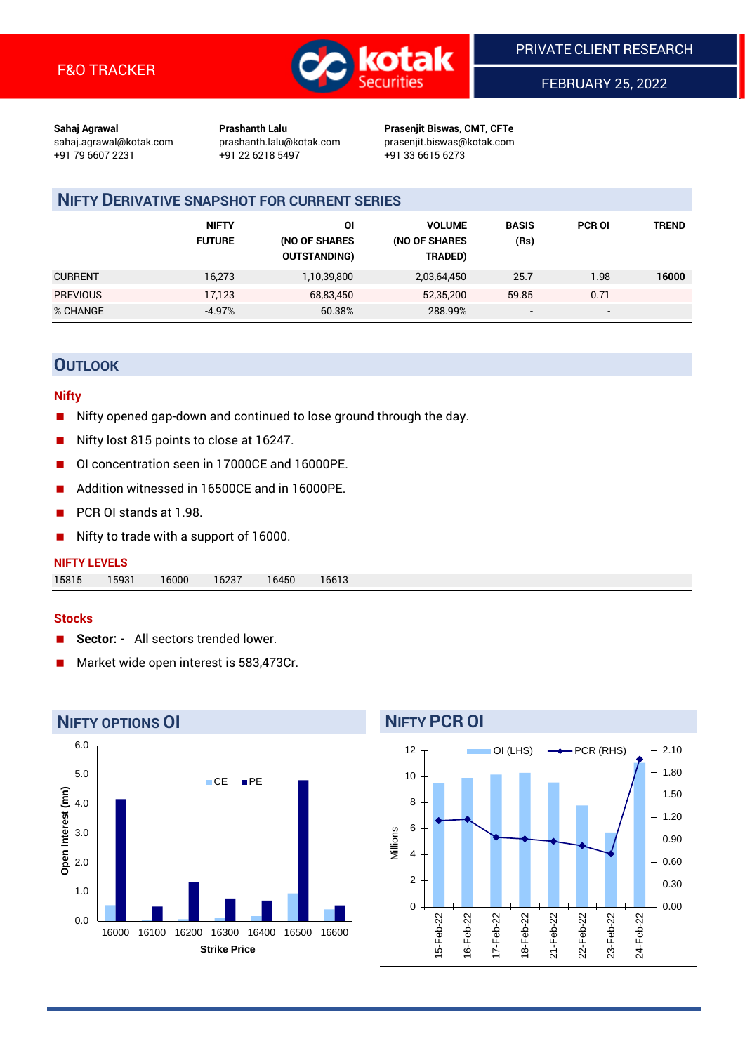

FEBRUARY 25, 2022

**Sahaj Agrawal Prashanth Lalu Prasenjit Biswas, CMT, CFTe** +91 79 6607 2231 +91 22 6218 5497 +91 33 6615 6273

sahaj.agrawal@kotak.com [prashanth.lalu@kotak.com](mailto:prashanth.lalu@kotak.com) prasenjit.biswas@kotak.com

# **NIFTY DERIVATIVE SNAPSHOT FOR CURRENT SERIES**

|                 | <b>NIFTY</b><br><b>FUTURE</b> | ΟI<br>(NO OF SHARES<br><b>OUTSTANDING)</b> | <b>VOLUME</b><br>(NO OF SHARES<br>TRADED) | <b>BASIS</b><br>(Rs)     | <b>PCR OI</b> | <b>TREND</b> |
|-----------------|-------------------------------|--------------------------------------------|-------------------------------------------|--------------------------|---------------|--------------|
| <b>CURRENT</b>  | 16,273                        | 1,10,39,800                                | 2,03,64,450                               | 25.7                     | 1.98          | 16000        |
| <b>PREVIOUS</b> | 17.123                        | 68,83,450                                  | 52,35,200                                 | 59.85                    | 0.71          |              |
| % CHANGE        | $-4.97%$                      | 60.38%                                     | 288.99%                                   | $\overline{\phantom{0}}$ | -             |              |

## **OUTLOOK**

#### **Nifty**

- Nifty opened gap-down and continued to lose ground through the day.
- Nifty lost 815 points to close at 16247.
- OI concentration seen in 17000CE and 16000PE.
- Addition witnessed in 16500CE and in 16000PE.
- PCR OI stands at 1.98.
- Nifty to trade with a support of 16000.

| <b>NIFTY LEVELS</b> |       |       |       |       |       |
|---------------------|-------|-------|-------|-------|-------|
| 15815               | 15931 | 16000 | 16237 | 16450 | 16613 |

#### **Stocks**

- **Sector:** All sectors trended lower.
- Market wide open interest is 583,473Cr.



#### **NIFTY PCR OI** 12 OI (LHS)  $\longrightarrow$  PCR (RHS) 2.10 1.80 10 1.50 8 1.20 6 Millions 0.90 4 0.60 2 0.30  $\Omega$ 0.00 15-Feb-22 I6-Feb-22 17-Feb-22 18-Feb-22 21-Feb-22 22-Feb-22 23-Feb-22 24-Feb-22 15-Feb-22 16-Feb-22 17-Feb-22 18-Feb-22 21-Feb-22 22-Feb-22 23-Feb-22 24-Feb-22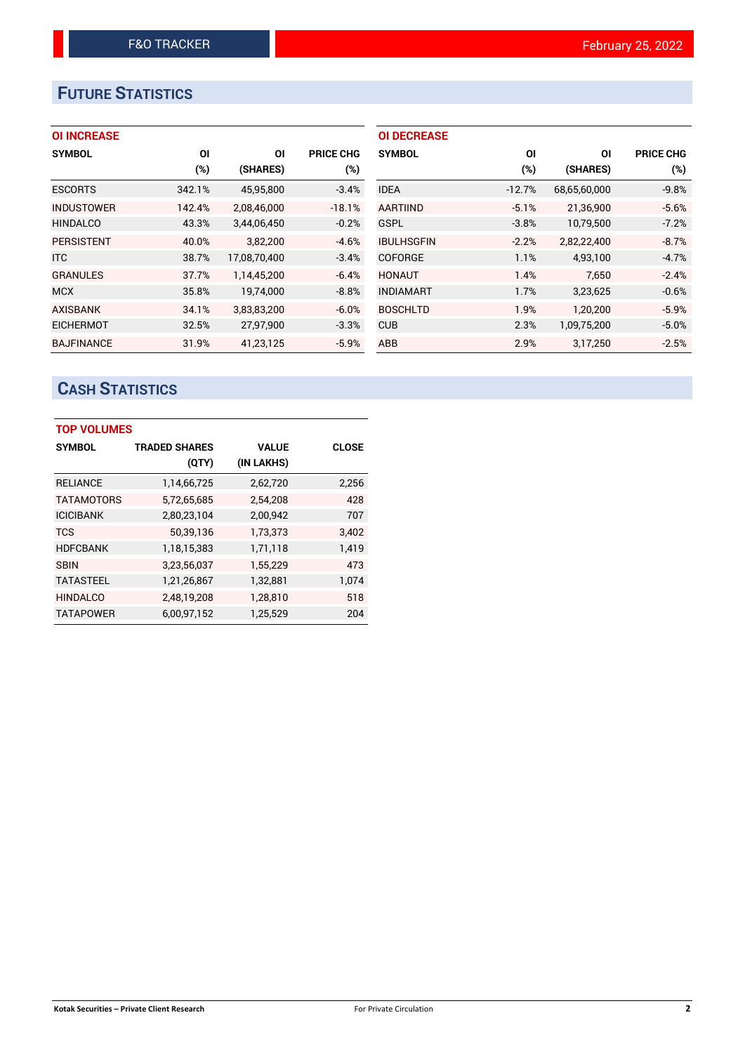# **FUTURE STATISTICS**

## **OI INCREASE**

| <b>SYMBOL</b>     | <b>OI</b> | ΟI           | <b>PRICE CHG</b> |
|-------------------|-----------|--------------|------------------|
|                   | (%)       | (SHARES)     | $(\%)$           |
| <b>ESCORTS</b>    | 342.1%    | 45,95,800    | $-3.4%$          |
| <b>INDUSTOWER</b> | 142.4%    | 2,08,46,000  | $-18.1%$         |
| <b>HINDALCO</b>   | 43.3%     | 3,44,06,450  | $-0.2%$          |
| <b>PERSISTENT</b> | 40.0%     | 3.82.200     | $-4.6%$          |
| <b>ITC</b>        | 38.7%     | 17,08,70,400 | $-3.4%$          |
| <b>GRANULES</b>   | 37.7%     | 1.14.45.200  | $-6.4%$          |
| <b>MCX</b>        | 35.8%     | 19.74.000    | $-8.8%$          |
| <b>AXISBANK</b>   | 34.1%     | 3,83,83,200  | $-6.0%$          |
| <b>EICHERMOT</b>  | 32.5%     | 27,97,900    | $-3.3%$          |
| <b>BAJFINANCE</b> | 31.9%     | 41.23.125    | $-5.9%$          |

| <b>OI DECREASE</b> |          |              |                  |
|--------------------|----------|--------------|------------------|
| <b>SYMBOL</b>      | ΟI       | ΟI           | <b>PRICE CHG</b> |
|                    | $(\%)$   | (SHARES)     | $(\%)$           |
| <b>IDEA</b>        | $-12.7%$ | 68,65,60,000 | $-9.8%$          |
| <b>AARTIIND</b>    | $-5.1%$  | 21,36,900    | $-5.6%$          |
| GSPL               | $-3.8%$  | 10,79,500    | $-7.2%$          |
| <b>IBULHSGFIN</b>  | $-2.2%$  | 2,82,22,400  | $-8.7%$          |
| <b>COFORGE</b>     | 1.1%     | 4,93,100     | $-4.7%$          |
| <b>HONAUT</b>      | 1.4%     | 7.650        | $-2.4%$          |
| <b>INDIAMART</b>   | 1.7%     | 3,23,625     | $-0.6%$          |
| <b>BOSCHLTD</b>    | 1.9%     | 1,20,200     | $-5.9%$          |
| <b>CUB</b>         | 2.3%     | 1,09,75,200  | $-5.0%$          |
| ABB                | 2.9%     | 3,17,250     | $-2.5%$          |

# **CASH STATISTICS**

| <b>TOP VOLUMES</b> |                      |              |              |  |  |  |  |  |
|--------------------|----------------------|--------------|--------------|--|--|--|--|--|
| <b>SYMBOL</b>      | <b>TRADED SHARES</b> | <b>VALUE</b> | <b>CLOSE</b> |  |  |  |  |  |
|                    | (QTY)                | (IN LAKHS)   |              |  |  |  |  |  |
| <b>RELIANCE</b>    | 1,14,66,725          | 2,62,720     | 2,256        |  |  |  |  |  |
| <b>TATAMOTORS</b>  | 5,72,65,685          | 2,54,208     | 428          |  |  |  |  |  |
| <b>ICICIBANK</b>   | 2,80,23,104          | 2,00,942     | 707          |  |  |  |  |  |
| <b>TCS</b>         | 50,39,136            | 1,73,373     | 3,402        |  |  |  |  |  |
| <b>HDFCBANK</b>    | 1,18,15,383          | 1,71,118     | 1,419        |  |  |  |  |  |
| <b>SBIN</b>        | 3,23,56,037          | 1,55,229     | 473          |  |  |  |  |  |
| <b>TATASTEEL</b>   | 1,21,26,867          | 1,32,881     | 1,074        |  |  |  |  |  |
| <b>HINDALCO</b>    | 2,48,19,208          | 1,28,810     | 518          |  |  |  |  |  |
| <b>TATAPOWER</b>   | 6,00,97,152          | 1,25,529     | 204          |  |  |  |  |  |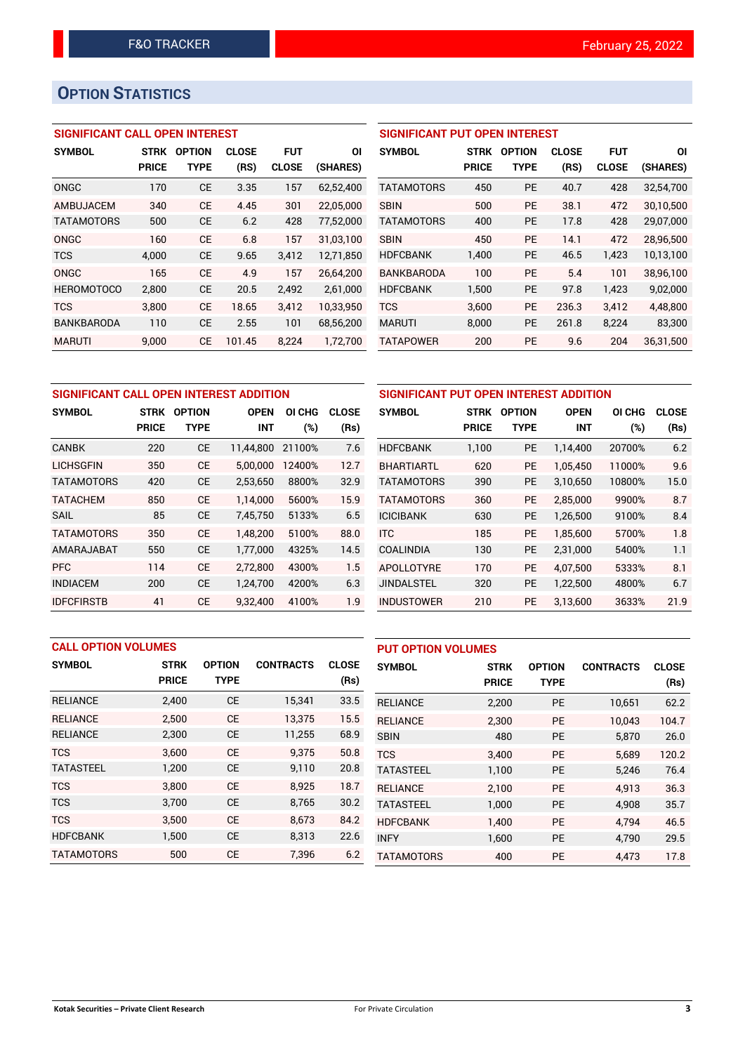# **OPTION STATISTICS**

## **SIGNIFICANT CALL OPEN INTEREST**

| <b>SYMBOL</b>     | <b>STRK</b>  | <b>OPTION</b> | <b>CLOSE</b> | FUT          | ΟI        |
|-------------------|--------------|---------------|--------------|--------------|-----------|
|                   | <b>PRICE</b> | TYPE          | (RS)         | <b>CLOSE</b> | (SHARES)  |
| ONGC              | 170          | CE            | 3.35         | 157          | 62,52,400 |
| AMBUJACEM         | 340          | СE            | 4.45         | 301          | 22,05,000 |
| <b>TATAMOTORS</b> | 500          | СE            | 6.2          | 428          | 77,52,000 |
| ONGC              | 160          | CF            | 6.8          | 157          | 31,03,100 |
| <b>TCS</b>        | 4,000        | СE            | 9.65         | 3,412        | 12,71,850 |
| ONGC              | 165          | CF            | 4.9          | 157          | 26.64.200 |
| <b>HEROMOTOCO</b> | 2,800        | СE            | 20.5         | 2,492        | 2,61,000  |
| <b>TCS</b>        | 3,800        | CF            | 18.65        | 3,412        | 10,33,950 |
| <b>BANKBARODA</b> | 110          | CE            | 2.55         | 101          | 68,56,200 |
| <b>MARUTI</b>     | 9.000        | СE            | 101.45       | 8.224        | 1,72,700  |

### **SIGNIFICANT PUT OPEN INTEREST**

| <b>SYMBOL</b>     | <b>STRK</b><br><b>PRICE</b> | <b>OPTION</b><br>TYPE | <b>CLOSE</b><br>(RS) | <b>FUT</b><br><b>CLOSE</b> | ΟI<br>(SHARES) |
|-------------------|-----------------------------|-----------------------|----------------------|----------------------------|----------------|
| <b>TATAMOTORS</b> | 450                         | PF                    | 40.7                 | 428                        | 32,54,700      |
| <b>SBIN</b>       | 500                         | PF                    | 38.1                 | 472                        | 30,10,500      |
| <b>TATAMOTORS</b> | 400                         | <b>PE</b>             | 17.8                 | 428                        | 29,07,000      |
| <b>SBIN</b>       | 450                         | PF                    | 14.1                 | 472                        | 28,96,500      |
| <b>HDFCBANK</b>   | 1,400                       | PF                    | 46.5                 | 1,423                      | 10,13,100      |
| <b>BANKBARODA</b> | 100                         | PF                    | 5.4                  | 101                        | 38,96,100      |
| <b>HDFCBANK</b>   | 1,500                       | PF                    | 97.8                 | 1,423                      | 9,02,000       |
| TCS               | 3,600                       | PE                    | 236.3                | 3,412                      | 4,48,800       |
| <b>MARUTI</b>     | 8.000                       | <b>PE</b>             | 261.8                | 8.224                      | 83,300         |
| <b>TATAPOWER</b>  | 200                         | <b>PE</b>             | 9.6                  | 204                        | 36,31,500      |

| SIGNIFICANT CALL OPEN INTEREST ADDITION | <b>SIGNIFICAN</b>           |                              |                           |               |                      |                   |
|-----------------------------------------|-----------------------------|------------------------------|---------------------------|---------------|----------------------|-------------------|
| <b>SYMBOL</b>                           | <b>STRK</b><br><b>PRICE</b> | <b>OPTION</b><br><b>TYPE</b> | <b>OPEN</b><br><b>INT</b> | OI CHG<br>(%) | <b>CLOSE</b><br>(Rs) | <b>SYMBOL</b>     |
| <b>CANBK</b>                            | 220                         | <b>CE</b>                    | 11,44,800                 | 21100%        | 7.6                  | <b>HDFCBANK</b>   |
| <b>LICHSGFIN</b>                        | 350                         | <b>CE</b>                    | 5,00,000                  | 12400%        | 12.7                 | <b>BHARTIARTL</b> |
| <b>TATAMOTORS</b>                       | 420                         | <b>CE</b>                    | 2,53,650                  | 8800%         | 32.9                 | <b>TATAMOTORS</b> |
| <b>TATACHEM</b>                         | 850                         | <b>CE</b>                    | 1,14,000                  | 5600%         | 15.9                 | TATAMOTORS        |
| <b>SAIL</b>                             | 85                          | <b>CE</b>                    | 7,45,750                  | 5133%         | 6.5                  | <b>ICICIBANK</b>  |
| <b>TATAMOTORS</b>                       | 350                         | <b>CE</b>                    | 1.48.200                  | 5100%         | 88.0                 | <b>ITC</b>        |
| AMARAJABAT                              | 550                         | <b>CE</b>                    | 1,77,000                  | 4325%         | 14.5                 | <b>COALINDIA</b>  |
| <b>PFC</b>                              | 114                         | <b>CE</b>                    | 2,72,800                  | 4300%         | 1.5                  | APOLLOTYRE        |
| <b>INDIACEM</b>                         | 200                         | <b>CE</b>                    | 1,24,700                  | 4200%         | 6.3                  | <b>JINDALSTEL</b> |
| <b>IDFCFIRSTB</b>                       | 41                          | <b>CE</b>                    | 9,32,400                  | 4100%         | 1.9                  | <b>INDUSTOWER</b> |

| SIGNIFICANT PUT OPEN INTEREST ADDITION |              |               |             |        |              |  |  |  |  |
|----------------------------------------|--------------|---------------|-------------|--------|--------------|--|--|--|--|
| <b>SYMBOL</b>                          | <b>STRK</b>  | <b>OPTION</b> | <b>OPEN</b> | OI CHG | <b>CLOSE</b> |  |  |  |  |
|                                        | <b>PRICE</b> | <b>TYPE</b>   | INT         | (%)    | (Rs)         |  |  |  |  |
| <b>HDFCBANK</b>                        | 1,100        | <b>PE</b>     | 1.14.400    | 20700% | 6.2          |  |  |  |  |
| <b>BHARTIARTL</b>                      | 620          | <b>PE</b>     | 1.05.450    | 11000% | 9.6          |  |  |  |  |
| <b>TATAMOTORS</b>                      | 390          | PE            | 3,10,650    | 10800% | 15.0         |  |  |  |  |
| <b>TATAMOTORS</b>                      | 360          | <b>PE</b>     | 2,85,000    | 9900%  | 8.7          |  |  |  |  |
| <b>ICICIBANK</b>                       | 630          | <b>PE</b>     | 1,26,500    | 9100%  | 8.4          |  |  |  |  |
| <b>ITC</b>                             | 185          | <b>PE</b>     | 1,85,600    | 5700%  | 1.8          |  |  |  |  |
| COALINDIA                              | 130          | <b>PE</b>     | 2,31,000    | 5400%  | 1.1          |  |  |  |  |
| APOLLOTYRE                             | 170          | <b>PE</b>     | 4.07.500    | 5333%  | 8.1          |  |  |  |  |
| <b>JINDALSTEL</b>                      | 320          | <b>PE</b>     | 1,22,500    | 4800%  | 6.7          |  |  |  |  |
| <b>INDUSTOWER</b>                      | 210          | <b>PE</b>     | 3,13,600    | 3633%  | 21.9         |  |  |  |  |

|                   | <b>CALL OPTION VOLUMES</b> |               |                  |              | <b>PUT OPTION VOLUMES</b> |              |               |                  |              |
|-------------------|----------------------------|---------------|------------------|--------------|---------------------------|--------------|---------------|------------------|--------------|
| <b>SYMBOL</b>     | <b>STRK</b>                | <b>OPTION</b> | <b>CONTRACTS</b> | <b>CLOSE</b> | <b>SYMBOL</b>             | <b>STRK</b>  | <b>OPTION</b> | <b>CONTRACTS</b> | <b>CLOSE</b> |
|                   | <b>PRICE</b>               | <b>TYPE</b>   |                  | (Rs)         |                           | <b>PRICE</b> | <b>TYPE</b>   |                  | (Rs)         |
| <b>RELIANCE</b>   | 2,400                      | <b>CE</b>     | 15,341           | 33.5         | <b>RELIANCE</b>           | 2,200        | <b>PE</b>     | 10,651           | 62.2         |
| <b>RELIANCE</b>   | 2.500                      | <b>CE</b>     | 13.375           | 15.5         | <b>RELIANCE</b>           | 2,300        | <b>PE</b>     | 10.043           | 104.7        |
| <b>RELIANCE</b>   | 2,300                      | <b>CE</b>     | 11,255           | 68.9         | <b>SBIN</b>               | 480          | <b>PE</b>     | 5,870            | 26.0         |
| <b>TCS</b>        | 3.600                      | <b>CE</b>     | 9.375            | 50.8         | <b>TCS</b>                | 3.400        | <b>PE</b>     | 5,689            | 120.2        |
| <b>TATASTEEL</b>  | 1,200                      | <b>CE</b>     | 9,110            | 20.8         | <b>TATASTEEL</b>          | 1,100        | <b>PE</b>     | 5.246            | 76.4         |
| <b>TCS</b>        | 3,800                      | <b>CE</b>     | 8,925            | 18.7         | <b>RELIANCE</b>           | 2.100        | <b>PE</b>     | 4.913            | 36.3         |
| <b>TCS</b>        | 3,700                      | <b>CE</b>     | 8,765            | 30.2         | <b>TATASTEEL</b>          | 1,000        | <b>PE</b>     | 4,908            | 35.7         |
| <b>TCS</b>        | 3.500                      | <b>CE</b>     | 8.673            | 84.2         | <b>HDFCBANK</b>           | 1.400        | <b>PE</b>     | 4.794            | 46.5         |
| <b>HDFCBANK</b>   | 1,500                      | <b>CE</b>     | 8,313            | 22.6         | <b>INFY</b>               | 1,600        | <b>PE</b>     | 4,790            | 29.5         |
| <b>TATAMOTORS</b> | 500                        | <b>CE</b>     | 7,396            | 6.2          | <b>TATAMOTORS</b>         | 400          | PE            | 4,473            | 17.8         |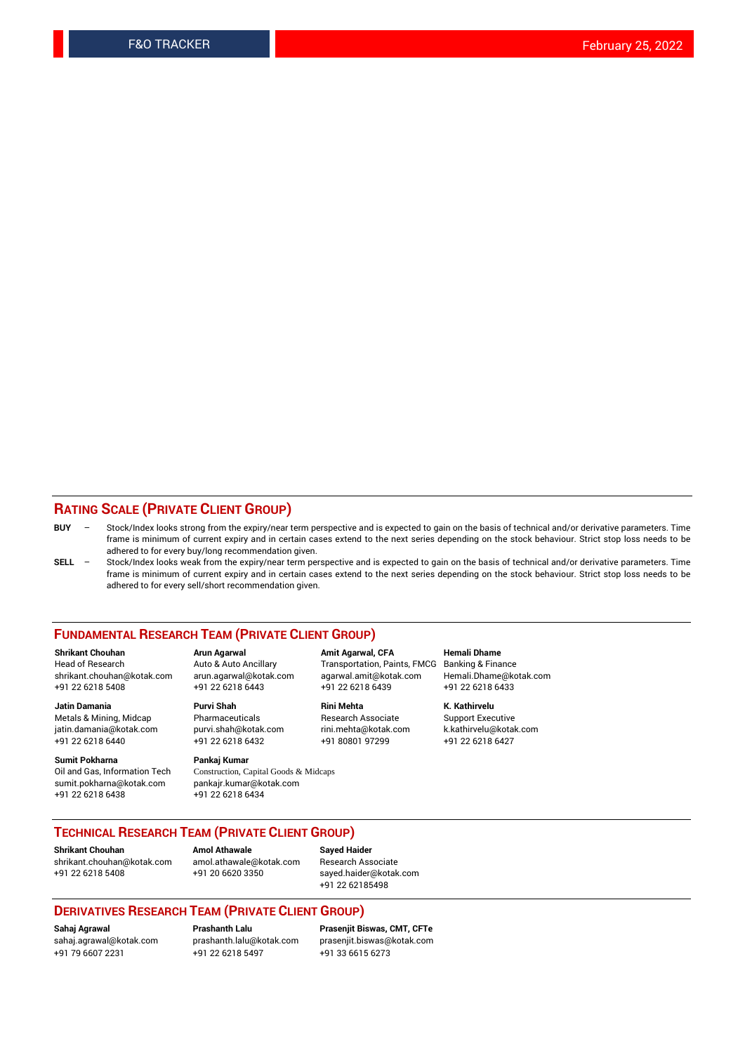#### **RATING SCALE (PRIVATE CLIENT GROUP)**

- **BUY**  Stock/Index looks strong from the expiry/near term perspective and is expected to gain on the basis of technical and/or derivative parameters. Time frame is minimum of current expiry and in certain cases extend to the next series depending on the stock behaviour. Strict stop loss needs to be adhered to for every buy/long recommendation given.
- **SELL** Stock/Index looks weak from the expiry/near term perspective and is expected to gain on the basis of technical and/or derivative parameters. Time frame is minimum of current expiry and in certain cases extend to the next series depending on the stock behaviour. Strict stop loss needs to be adhered to for every sell/short recommendation given.

#### **FUNDAMENTAL RESEARCH TEAM (PRIVATE CLIENT GROUP)**

**Shrikant Chouhan Arun Agarwal Amit Agarwal, CFA Hemali Dhame** shrikant.chouhan@kotak.com arun.agarwal@kotak.com agarwal.amit@kotak.com Hemali.Dhame@kotak.com +91 22 6218 5408 +91 22 6218 6443 +91 22 6218 6439 +91 22 6218 6433

jatin.damania@kotak.com +91 22 6218 6440 +91 22 6218 6432 +91 80801 97299 +91 22 6218 6427

**Sumit Pokharna** Pankaj Kumar<br>Oil and Gas, Information Tech Construction, C sumit.pokharna@kotak.com pankajr.kumar@kotak.com +91 22 6218 6438 +91 22 6218 6434

**Jatin Damania Purvi Shah Rini Mehta K. Kathirvelu**

Construction, Capital Goods & Midcaps

Transportation, Paints, FMCG

Metals & Mining, Midcap Pharmaceuticals Pharmaceuticals Research Associate Support Executive<br>
iatin.damania@kotak.com purvi.shah@kotak.com rini.mehta@kotak.com k.kathirvelu@kotak.com

### **TECHNICAL RESEARCH TEAM (PRIVATE CLIENT GROUP)**

[shrikant.chouhan@kotak.com](mailto:shrikant.chouhan@kotak.com) [amol.athawale@kotak.com](mailto:amol.athawale@kotak.com) Research Associate +91 22 6218 5408 +91 20 6620 3350 [sayed.haider@kotak.com](mailto:sayed.haider@kotak.com)

**Shrikant Chouhan Amol Athawale Sayed Haider**

+91 22 62185498

#### **DERIVATIVES RESEARCH TEAM (PRIVATE CLIENT GROUP)**

+91 79 6607 2231 +91 22 6218 5497 +91 33 6615 6273

**Sahaj Agrawal Prashanth Lalu Prasenjit Biswas, CMT, CFTe** [prasenjit.biswas@kotak.com](mailto:prasenjit.biswas@kotak.com)